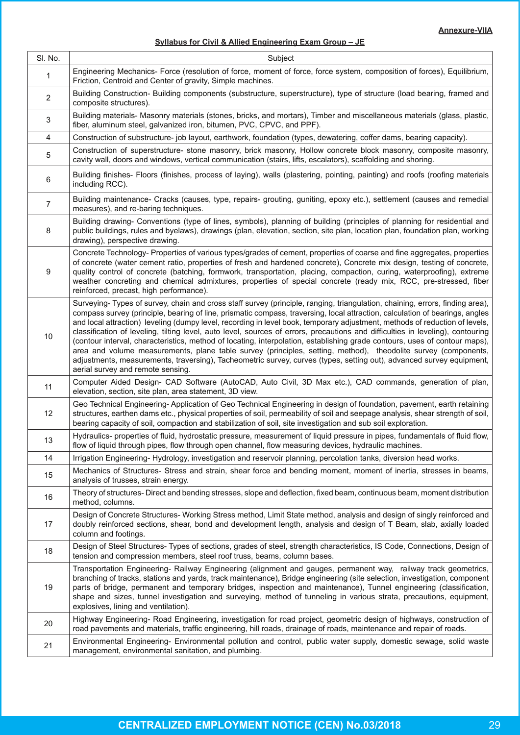# **Syllabus for Civil & Allied Engineering Exam Group – JE**

| SI. No.                   | Subject                                                                                                                                                                                                                                                                                                                                                                                                                                                                                                                                                                                                                                                                                                                                                                                                                                                                                                                                      |
|---------------------------|----------------------------------------------------------------------------------------------------------------------------------------------------------------------------------------------------------------------------------------------------------------------------------------------------------------------------------------------------------------------------------------------------------------------------------------------------------------------------------------------------------------------------------------------------------------------------------------------------------------------------------------------------------------------------------------------------------------------------------------------------------------------------------------------------------------------------------------------------------------------------------------------------------------------------------------------|
| 1                         | Engineering Mechanics- Force (resolution of force, moment of force, force system, composition of forces), Equilibrium,<br>Friction, Centroid and Center of gravity, Simple machines.                                                                                                                                                                                                                                                                                                                                                                                                                                                                                                                                                                                                                                                                                                                                                         |
| $\overline{2}$            | Building Construction- Building components (substructure, superstructure), type of structure (load bearing, framed and<br>composite structures).                                                                                                                                                                                                                                                                                                                                                                                                                                                                                                                                                                                                                                                                                                                                                                                             |
| $\ensuremath{\mathsf{3}}$ | Building materials- Masonry materials (stones, bricks, and mortars), Timber and miscellaneous materials (glass, plastic,<br>fiber, aluminum steel, galvanized iron, bitumen, PVC, CPVC, and PPF).                                                                                                                                                                                                                                                                                                                                                                                                                                                                                                                                                                                                                                                                                                                                            |
| $\overline{\mathbf{4}}$   | Construction of substructure- job layout, earthwork, foundation (types, dewatering, coffer dams, bearing capacity).                                                                                                                                                                                                                                                                                                                                                                                                                                                                                                                                                                                                                                                                                                                                                                                                                          |
| 5                         | Construction of superstructure- stone masonry, brick masonry, Hollow concrete block masonry, composite masonry,<br>cavity wall, doors and windows, vertical communication (stairs, lifts, escalators), scaffolding and shoring.                                                                                                                                                                                                                                                                                                                                                                                                                                                                                                                                                                                                                                                                                                              |
| $\,6\,$                   | Building finishes- Floors (finishes, process of laying), walls (plastering, pointing, painting) and roofs (roofing materials<br>including RCC).                                                                                                                                                                                                                                                                                                                                                                                                                                                                                                                                                                                                                                                                                                                                                                                              |
| $\overline{7}$            | Building maintenance- Cracks (causes, type, repairs- grouting, guniting, epoxy etc.), settlement (causes and remedial<br>measures), and re-baring techniques.                                                                                                                                                                                                                                                                                                                                                                                                                                                                                                                                                                                                                                                                                                                                                                                |
| 8                         | Building drawing- Conventions (type of lines, symbols), planning of building (principles of planning for residential and<br>public buildings, rules and byelaws), drawings (plan, elevation, section, site plan, location plan, foundation plan, working<br>drawing), perspective drawing.                                                                                                                                                                                                                                                                                                                                                                                                                                                                                                                                                                                                                                                   |
| 9                         | Concrete Technology- Properties of various types/grades of cement, properties of coarse and fine aggregates, properties<br>of concrete (water cement ratio, properties of fresh and hardened concrete), Concrete mix design, testing of concrete,<br>quality control of concrete (batching, formwork, transportation, placing, compaction, curing, waterproofing), extreme<br>weather concreting and chemical admixtures, properties of special concrete (ready mix, RCC, pre-stressed, fiber<br>reinforced, precast, high performance).                                                                                                                                                                                                                                                                                                                                                                                                     |
| $10$                      | Surveying- Types of survey, chain and cross staff survey (principle, ranging, triangulation, chaining, errors, finding area),<br>compass survey (principle, bearing of line, prismatic compass, traversing, local attraction, calculation of bearings, angles<br>and local attraction) leveling (dumpy level, recording in level book, temporary adjustment, methods of reduction of levels,<br>classification of leveling, tilting level, auto level, sources of errors, precautions and difficulties in leveling), contouring<br>(contour interval, characteristics, method of locating, interpolation, establishing grade contours, uses of contour maps),<br>area and volume measurements, plane table survey (principles, setting, method), theodolite survey (components,<br>adjustments, measurements, traversing), Tacheometric survey, curves (types, setting out), advanced survey equipment,<br>aerial survey and remote sensing. |
| 11                        | Computer Aided Design- CAD Software (AutoCAD, Auto Civil, 3D Max etc.), CAD commands, generation of plan,<br>elevation, section, site plan, area statement, 3D view.                                                                                                                                                                                                                                                                                                                                                                                                                                                                                                                                                                                                                                                                                                                                                                         |
| 12                        | Geo Technical Engineering-Application of Geo Technical Engineering in design of foundation, pavement, earth retaining<br>structures, earthen dams etc., physical properties of soil, permeability of soil and seepage analysis, shear strength of soil,<br>bearing capacity of soil, compaction and stabilization of soil, site investigation and sub soil exploration.                                                                                                                                                                                                                                                                                                                                                                                                                                                                                                                                                                      |
| 13                        | Hydraulics- properties of fluid, hydrostatic pressure, measurement of liquid pressure in pipes, fundamentals of fluid flow,<br>flow of liquid through pipes, flow through open channel, flow measuring devices, hydraulic machines.                                                                                                                                                                                                                                                                                                                                                                                                                                                                                                                                                                                                                                                                                                          |
| 14                        | Irrigation Engineering-Hydrology, investigation and reservoir planning, percolation tanks, diversion head works.                                                                                                                                                                                                                                                                                                                                                                                                                                                                                                                                                                                                                                                                                                                                                                                                                             |
| 15                        | Mechanics of Structures- Stress and strain, shear force and bending moment, moment of inertia, stresses in beams,<br>analysis of trusses, strain energy.                                                                                                                                                                                                                                                                                                                                                                                                                                                                                                                                                                                                                                                                                                                                                                                     |
| 16                        | Theory of structures- Direct and bending stresses, slope and deflection, fixed beam, continuous beam, moment distribution<br>method, columns.                                                                                                                                                                                                                                                                                                                                                                                                                                                                                                                                                                                                                                                                                                                                                                                                |
| 17                        | Design of Concrete Structures-Working Stress method, Limit State method, analysis and design of singly reinforced and<br>doubly reinforced sections, shear, bond and development length, analysis and design of T Beam, slab, axially loaded<br>column and footings.                                                                                                                                                                                                                                                                                                                                                                                                                                                                                                                                                                                                                                                                         |
| 18                        | Design of Steel Structures- Types of sections, grades of steel, strength characteristics, IS Code, Connections, Design of<br>tension and compression members, steel roof truss, beams, column bases.                                                                                                                                                                                                                                                                                                                                                                                                                                                                                                                                                                                                                                                                                                                                         |
| 19                        | Transportation Engineering- Railway Engineering (alignment and gauges, permanent way, railway track geometrics,<br>branching of tracks, stations and yards, track maintenance), Bridge engineering (site selection, investigation, component<br>parts of bridge, permanent and temporary bridges, inspection and maintenance), Tunnel engineering (classification,<br>shape and sizes, tunnel investigation and surveying, method of tunneling in various strata, precautions, equipment,<br>explosives, lining and ventilation).                                                                                                                                                                                                                                                                                                                                                                                                            |
| 20                        | Highway Engineering- Road Engineering, investigation for road project, geometric design of highways, construction of<br>road pavements and materials, traffic engineering, hill roads, drainage of roads, maintenance and repair of roads.                                                                                                                                                                                                                                                                                                                                                                                                                                                                                                                                                                                                                                                                                                   |
| 21                        | Environmental Engineering- Environmental pollution and control, public water supply, domestic sewage, solid waste<br>management, environmental sanitation, and plumbing.                                                                                                                                                                                                                                                                                                                                                                                                                                                                                                                                                                                                                                                                                                                                                                     |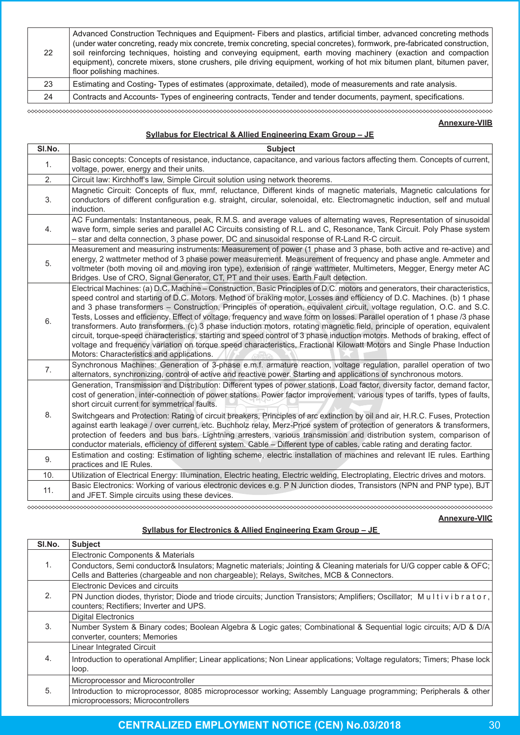| 22  | Advanced Construction Techniques and Equipment- Fibers and plastics, artificial timber, advanced concreting methods<br>(under water concreting, ready mix concrete, tremix concreting, special concretes), formwork, pre-fabricated construction,<br>soil reinforcing techniques, hoisting and conveying equipment, earth moving machinery (exaction and compaction<br>equipment), concrete mixers, stone crushers, pile driving equipment, working of hot mix bitumen plant, bitumen paver,<br>floor polishing machines. |
|-----|---------------------------------------------------------------------------------------------------------------------------------------------------------------------------------------------------------------------------------------------------------------------------------------------------------------------------------------------------------------------------------------------------------------------------------------------------------------------------------------------------------------------------|
| -23 | Estimating and Costing-Types of estimates (approximate, detailed), mode of measurements and rate analysis.                                                                                                                                                                                                                                                                                                                                                                                                                |
| 24  | Contracts and Accounts-Types of engineering contracts. Tender and tender documents, payment, specifications.                                                                                                                                                                                                                                                                                                                                                                                                              |

∞∞∞∞∞∞∞∞∞

# **Annexure-VIIB**

# **Syllabus for Electrical & Allied Engineering Exam Group – JE**

| SI.No. | <b>Subject</b>                                                                                                                                                                                                                                                                                                                                                                                                                                                                                                                                                                                                                                                                                                                                                                                                                                                                                                                                        |
|--------|-------------------------------------------------------------------------------------------------------------------------------------------------------------------------------------------------------------------------------------------------------------------------------------------------------------------------------------------------------------------------------------------------------------------------------------------------------------------------------------------------------------------------------------------------------------------------------------------------------------------------------------------------------------------------------------------------------------------------------------------------------------------------------------------------------------------------------------------------------------------------------------------------------------------------------------------------------|
| 1.     | Basic concepts: Concepts of resistance, inductance, capacitance, and various factors affecting them. Concepts of current,<br>voltage, power, energy and their units.                                                                                                                                                                                                                                                                                                                                                                                                                                                                                                                                                                                                                                                                                                                                                                                  |
| 2.     | Circuit law: Kirchhoff's law, Simple Circuit solution using network theorems.                                                                                                                                                                                                                                                                                                                                                                                                                                                                                                                                                                                                                                                                                                                                                                                                                                                                         |
| 3.     | Magnetic Circuit: Concepts of flux, mmf, reluctance, Different kinds of magnetic materials, Magnetic calculations for<br>conductors of different configuration e.g. straight, circular, solenoidal, etc. Electromagnetic induction, self and mutual<br>induction.                                                                                                                                                                                                                                                                                                                                                                                                                                                                                                                                                                                                                                                                                     |
| 4.     | AC Fundamentals: Instantaneous, peak, R.M.S. and average values of alternating waves, Representation of sinusoidal<br>wave form, simple series and parallel AC Circuits consisting of R.L. and C, Resonance, Tank Circuit. Poly Phase system<br>- star and delta connection, 3 phase power, DC and sinusoidal response of R-Land R-C circuit.                                                                                                                                                                                                                                                                                                                                                                                                                                                                                                                                                                                                         |
| 5.     | Measurement and measuring instruments: Measurement of power (1 phase and 3 phase, both active and re-active) and<br>energy, 2 wattmeter method of 3 phase power measurement. Measurement of frequency and phase angle. Ammeter and<br>voltmeter (both moving oil and moving iron type), extension of range wattmeter, Multimeters, Megger, Energy meter AC<br>Bridges. Use of CRO, Signal Generator, CT, PT and their uses. Earth Fault detection.                                                                                                                                                                                                                                                                                                                                                                                                                                                                                                    |
| 6.     | Electrical Machines: (a) D.C. Machine - Construction, Basic Principles of D.C. motors and generators, their characteristics,<br>speed control and starting of D.C. Motors. Method of braking motor, Losses and efficiency of D.C. Machines. (b) 1 phase<br>and 3 phase transformers - Construction, Principles of operation, equivalent circuit, voltage regulation, O.C. and S.C.<br>Tests, Losses and efficiency. Effect of voltage, frequency and wave form on losses. Parallel operation of 1 phase /3 phase<br>transformers. Auto transformers. (c) 3 phase induction motors, rotating magnetic field, principle of operation, equivalent<br>circuit, torque-speed characteristics, starting and speed control of 3 phase induction motors. Methods of braking, effect of<br>voltage and frequency variation on torque speed characteristics, Fractional Kilowatt Motors and Single Phase Induction<br>Motors: Characteristics and applications. |
| 7.     | Synchronous Machines: Generation of 3-phase e.m.f. armature reaction, voltage regulation, parallel operation of two<br>alternators, synchronizing, control of active and reactive power. Starting and applications of synchronous motors.                                                                                                                                                                                                                                                                                                                                                                                                                                                                                                                                                                                                                                                                                                             |
| 8.     | Generation, Transmission and Distribution: Different types of power stations, Load factor, diversity factor, demand factor,<br>cost of generation, inter-connection of power stations. Power factor improvement, various types of tariffs, types of faults,<br>short circuit current for symmetrical faults.<br>Switchgears and Protection: Rating of circuit breakers, Principles of arc extinction by oil and air, H.R.C. Fuses, Protection<br>against earth leakage / over current, etc. Buchholz relay, Merz-Price system of protection of generators & transformers,<br>protection of feeders and bus bars. Lightning arresters, various transmission and distribution system, comparison of<br>conductor materials, efficiency of different system. Cable - Different type of cables, cable rating and derating factor.                                                                                                                         |
| 9.     | Estimation and costing: Estimation of lighting scheme, electric installation of machines and relevant IE rules. Earthing<br>practices and IE Rules.                                                                                                                                                                                                                                                                                                                                                                                                                                                                                                                                                                                                                                                                                                                                                                                                   |
| 10.    | Utilization of Electrical Energy: Illumination, Electric heating, Electric welding, Electroplating, Electric drives and motors.                                                                                                                                                                                                                                                                                                                                                                                                                                                                                                                                                                                                                                                                                                                                                                                                                       |
| 11.    | Basic Electronics: Working of various electronic devices e.g. P N Junction diodes, Transistors (NPN and PNP type), BJT<br>and JFET. Simple circuits using these devices.                                                                                                                                                                                                                                                                                                                                                                                                                                                                                                                                                                                                                                                                                                                                                                              |

# **Annexure-VIIC**

# **Syllabus for Electronics & Allied Engineering Exam Group – JE**

| SI.No. | <b>Subject</b>                                                                                                                                                                                                    |
|--------|-------------------------------------------------------------------------------------------------------------------------------------------------------------------------------------------------------------------|
| 1.     | Electronic Components & Materials                                                                                                                                                                                 |
|        | Conductors, Semi conductor& Insulators; Magnetic materials; Jointing & Cleaning materials for U/G copper cable & OFC;<br>Cells and Batteries (chargeable and non chargeable); Relays, Switches, MCB & Connectors. |
| 2.     | Electronic Devices and circuits                                                                                                                                                                                   |
|        | PN Junction diodes, thyristor; Diode and triode circuits; Junction Transistors; Amplifiers; Oscillator; Multivibrator,<br>counters; Rectifiers; Inverter and UPS.                                                 |
| 3.     | <b>Digital Electronics</b>                                                                                                                                                                                        |
|        | Number System & Binary codes; Boolean Algebra & Logic gates; Combinational & Sequential logic circuits; A/D & D/A<br>converter, counters; Memories                                                                |
| 4.     | Linear Integrated Circuit                                                                                                                                                                                         |
|        | Introduction to operational Amplifier; Linear applications; Non Linear applications; Voltage regulators; Timers; Phase lock<br>loop.                                                                              |
| 5.     | Microprocessor and Microcontroller                                                                                                                                                                                |
|        | Introduction to microprocessor, 8085 microprocessor working; Assembly Language programming; Peripherals & other<br>microprocessors; Microcontrollers                                                              |

# **CENTRALIZED EMPLOYMENT NOTICE (CEN) No.03/2018** 30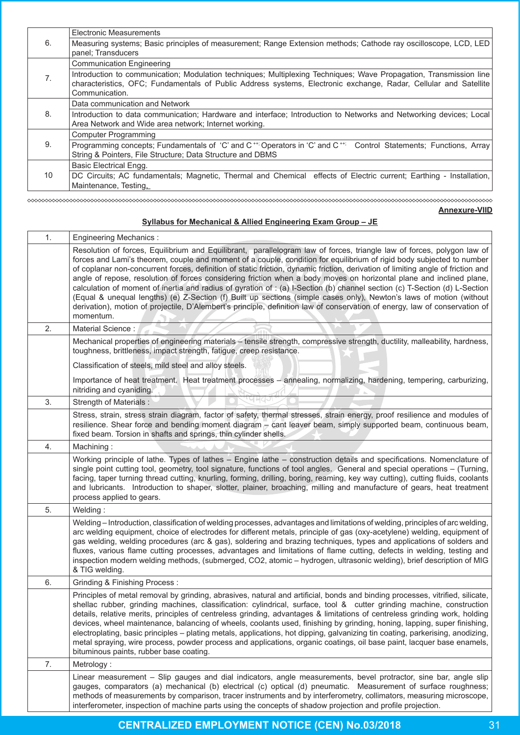|    | <b>Electronic Measurements</b>                                                                                                                                                                                                                           |
|----|----------------------------------------------------------------------------------------------------------------------------------------------------------------------------------------------------------------------------------------------------------|
| 6. | Measuring systems; Basic principles of measurement; Range Extension methods; Cathode ray oscilloscope, LCD, LED<br>panel; Transducers                                                                                                                    |
|    |                                                                                                                                                                                                                                                          |
|    | <b>Communication Engineering</b>                                                                                                                                                                                                                         |
| 7. | Introduction to communication; Modulation techniques; Multiplexing Techniques; Wave Propagation, Transmission line<br>characteristics, OFC; Fundamentals of Public Address systems, Electronic exchange, Radar, Cellular and Satellite<br>Communication. |
|    | Data communication and Network                                                                                                                                                                                                                           |
| 8. | Introduction to data communication; Hardware and interface; Introduction to Networks and Networking devices; Local<br>Area Network and Wide area network; Internet working.                                                                              |
|    | Computer Programming                                                                                                                                                                                                                                     |
| 9. | Programming concepts; Fundamentals of 'C' and C <sup>++;</sup> Operators in 'C' and C <sup>++;</sup> Control Statements; Functions, Array<br>String & Pointers, File Structure; Data Structure and DBMS                                                  |
|    | <b>Basic Electrical Engg.</b>                                                                                                                                                                                                                            |
| 10 | DC Circuits; AC fundamentals; Magnetic, Thermal and Chemical effects of Electric current; Earthing - Installation,                                                                                                                                       |
|    | Maintenance, Testing,                                                                                                                                                                                                                                    |

#### **Annexure-VIID**

# **Syllabus for Mechanical & Allied Engineering Exam Group – JE**

◇◇◇◇◇◇◇◇◇◇◇◇◇◇◇◇◇◇◇◇◇◇◇◇◇◇◇◇◇◇

| 1. | <b>Engineering Mechanics:</b>                                                                                                                                                                                                                                                                                                                                                                                                                                                                                                                                                                                                                                                                                                                                                                                                                                                                                |
|----|--------------------------------------------------------------------------------------------------------------------------------------------------------------------------------------------------------------------------------------------------------------------------------------------------------------------------------------------------------------------------------------------------------------------------------------------------------------------------------------------------------------------------------------------------------------------------------------------------------------------------------------------------------------------------------------------------------------------------------------------------------------------------------------------------------------------------------------------------------------------------------------------------------------|
|    | Resolution of forces, Equilibrium and Equilibrant, parallelogram law of forces, triangle law of forces, polygon law of<br>forces and Lami's theorem, couple and moment of a couple, condition for equilibrium of rigid body subjected to number<br>of coplanar non-concurrent forces, definition of static friction, dynamic friction, derivation of limiting angle of friction and<br>angle of repose, resolution of forces considering friction when a body moves on horizontal plane and inclined plane,<br>calculation of moment of inertia and radius of gyration of : (a) I-Section (b) channel section (c) T-Section (d) L-Section<br>(Equal & unequal lengths) (e) Z-Section (f) Built up sections (simple cases only), Newton's laws of motion (without<br>derivation), motion of projectile, D'Alembert's principle, definition law of conservation of energy, law of conservation of<br>momentum. |
| 2. | Material Science:                                                                                                                                                                                                                                                                                                                                                                                                                                                                                                                                                                                                                                                                                                                                                                                                                                                                                            |
|    | Mechanical properties of engineering materials - tensile strength, compressive strength, ductility, malleability, hardness,<br>toughness, brittleness, impact strength, fatigue, creep resistance.                                                                                                                                                                                                                                                                                                                                                                                                                                                                                                                                                                                                                                                                                                           |
|    | Classification of steels, mild steel and alloy steels.                                                                                                                                                                                                                                                                                                                                                                                                                                                                                                                                                                                                                                                                                                                                                                                                                                                       |
|    | Importance of heat treatment. Heat treatment processes - annealing, normalizing, hardening, tempering, carburizing,<br>nitriding and cyaniding.                                                                                                                                                                                                                                                                                                                                                                                                                                                                                                                                                                                                                                                                                                                                                              |
| 3. | Strength of Materials :                                                                                                                                                                                                                                                                                                                                                                                                                                                                                                                                                                                                                                                                                                                                                                                                                                                                                      |
|    | Stress, strain, stress strain diagram, factor of safety, thermal stresses, strain energy, proof resilience and modules of<br>resilience. Shear force and bending moment diagram - cant leaver beam, simply supported beam, continuous beam,<br>fixed beam. Torsion in shafts and springs, thin cylinder shells.                                                                                                                                                                                                                                                                                                                                                                                                                                                                                                                                                                                              |
| 4. | Machining:                                                                                                                                                                                                                                                                                                                                                                                                                                                                                                                                                                                                                                                                                                                                                                                                                                                                                                   |
|    | Working principle of lathe. Types of lathes - Engine lathe - construction details and specifications. Nomenclature of<br>single point cutting tool, geometry, tool signature, functions of tool angles. General and special operations – (Turning,<br>facing, taper turning thread cutting, knurling, forming, drilling, boring, reaming, key way cutting), cutting fluids, coolants<br>and lubricants. Introduction to shaper, slotter, plainer, broaching, milling and manufacture of gears, heat treatment<br>process applied to gears.                                                                                                                                                                                                                                                                                                                                                                   |
| 5. | Welding:                                                                                                                                                                                                                                                                                                                                                                                                                                                                                                                                                                                                                                                                                                                                                                                                                                                                                                     |
|    | Welding - Introduction, classification of welding processes, advantages and limitations of welding, principles of arc welding,<br>arc welding equipment, choice of electrodes for different metals, principle of gas (oxy-acetylene) welding, equipment of<br>gas welding, welding procedures (arc & gas), soldering and brazing techniques, types and applications of solders and<br>fluxes, various flame cutting processes, advantages and limitations of flame cutting, defects in welding, testing and<br>inspection modern welding methods, (submerged, CO2, atomic - hydrogen, ultrasonic welding), brief description of MIG<br>& TIG welding.                                                                                                                                                                                                                                                        |
| 6. | Grinding & Finishing Process:                                                                                                                                                                                                                                                                                                                                                                                                                                                                                                                                                                                                                                                                                                                                                                                                                                                                                |
|    | Principles of metal removal by grinding, abrasives, natural and artificial, bonds and binding processes, vitrified, silicate,<br>shellac rubber, grinding machines, classification: cylindrical, surface, tool & cutter grinding machine, construction<br>details, relative merits, principles of centreless grinding, advantages & limitations of centreless grinding work, holding<br>devices, wheel maintenance, balancing of wheels, coolants used, finishing by grinding, honing, lapping, super finishing,<br>electroplating, basic principles - plating metals, applications, hot dipping, galvanizing tin coating, parkerising, anodizing,<br>metal spraying, wire process, powder process and applications, organic coatings, oil base paint, lacquer base enamels,<br>bituminous paints, rubber base coating.                                                                                      |
| 7. | Metrology:                                                                                                                                                                                                                                                                                                                                                                                                                                                                                                                                                                                                                                                                                                                                                                                                                                                                                                   |
|    | Linear measurement - Slip gauges and dial indicators, angle measurements, bevel protractor, sine bar, angle slip<br>gauges, comparators (a) mechanical (b) electrical (c) optical (d) pneumatic. Measurement of surface roughness;<br>methods of measurements by comparison, tracer instruments and by interferometry, collimators, measuring microscope,<br>interferometer, inspection of machine parts using the concepts of shadow projection and profile projection.                                                                                                                                                                                                                                                                                                                                                                                                                                     |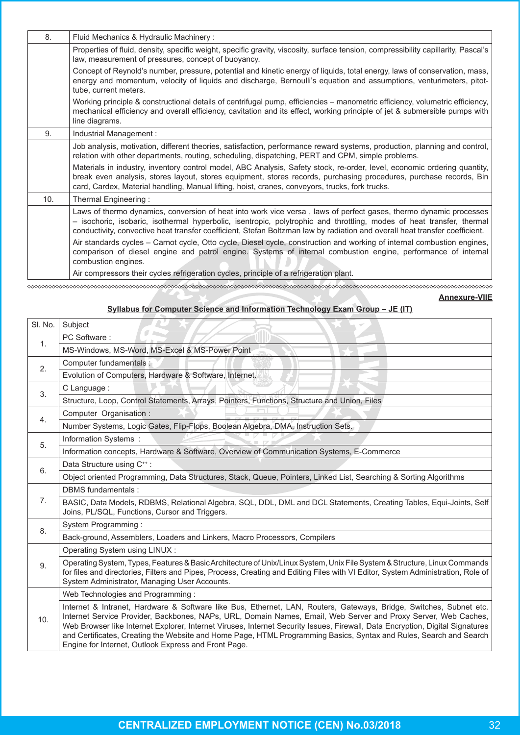| 8.  | Fluid Mechanics & Hydraulic Machinery:                                                                                                                                                                                                                                                                                                                                    |
|-----|---------------------------------------------------------------------------------------------------------------------------------------------------------------------------------------------------------------------------------------------------------------------------------------------------------------------------------------------------------------------------|
|     | Properties of fluid, density, specific weight, specific gravity, viscosity, surface tension, compressibility capillarity, Pascal's<br>law, measurement of pressures, concept of buoyancy.                                                                                                                                                                                 |
|     | Concept of Reynold's number, pressure, potential and kinetic energy of liquids, total energy, laws of conservation, mass,<br>energy and momentum, velocity of liquids and discharge, Bernoulli's equation and assumptions, venturimeters, pitot-<br>tube, current meters.                                                                                                 |
|     | Working principle & constructional details of centrifugal pump, efficiencies - manometric efficiency, volumetric efficiency,<br>mechanical efficiency and overall efficiency, cavitation and its effect, working principle of jet & submersible pumps with<br>line diagrams.                                                                                              |
| 9.  | Industrial Management :                                                                                                                                                                                                                                                                                                                                                   |
|     | Job analysis, motivation, different theories, satisfaction, performance reward systems, production, planning and control,<br>relation with other departments, routing, scheduling, dispatching, PERT and CPM, simple problems.                                                                                                                                            |
|     | Materials in industry, inventory control model, ABC Analysis, Safety stock, re-order, level, economic ordering quantity,<br>break even analysis, stores layout, stores equipment, stores records, purchasing procedures, purchase records, Bin<br>card, Cardex, Material handling, Manual lifting, hoist, cranes, conveyors, trucks, fork trucks.                         |
| 10. | Thermal Engineering:                                                                                                                                                                                                                                                                                                                                                      |
|     | Laws of thermo dynamics, conversion of heat into work vice versa, laws of perfect gases, thermo dynamic processes<br>- isochoric, isobaric, isothermal hyperbolic, isentropic, polytrophic and throttling, modes of heat transfer, thermal<br>conductivity, convective heat transfer coefficient, Stefan Boltzman law by radiation and overall heat transfer coefficient. |
|     | Air standards cycles – Carnot cycle, Otto cycle, Diesel cycle, construction and working of internal combustion engines,<br>comparison of diesel engine and petrol engine. Systems of internal combustion engine, performance of internal<br>combustion engines.                                                                                                           |
|     | Air compressors their cycles refrigeration cycles, principle of a refrigeration plant.                                                                                                                                                                                                                                                                                    |

**Annexure-VIIE**

# **Syllabus for Computer Science and Information Technology Exam Group – JE (IT)**

| SI. No. | Subject                                                                                                                                                                                                                                                                                                                                                                                                                                                                                                                                             |
|---------|-----------------------------------------------------------------------------------------------------------------------------------------------------------------------------------------------------------------------------------------------------------------------------------------------------------------------------------------------------------------------------------------------------------------------------------------------------------------------------------------------------------------------------------------------------|
| 1.      | PC Software:                                                                                                                                                                                                                                                                                                                                                                                                                                                                                                                                        |
|         | MS-Windows, MS-Word, MS-Excel & MS-Power Point                                                                                                                                                                                                                                                                                                                                                                                                                                                                                                      |
| 2.      | Computer fundamentals:                                                                                                                                                                                                                                                                                                                                                                                                                                                                                                                              |
|         | Evolution of Computers, Hardware & Software, Internet.                                                                                                                                                                                                                                                                                                                                                                                                                                                                                              |
| 3.      | C Language:                                                                                                                                                                                                                                                                                                                                                                                                                                                                                                                                         |
|         | Structure, Loop, Control Statements, Arrays, Pointers, Functions, Structure and Union, Files                                                                                                                                                                                                                                                                                                                                                                                                                                                        |
| 4.      | Computer Organisation :                                                                                                                                                                                                                                                                                                                                                                                                                                                                                                                             |
|         | Number Systems, Logic Gates, Flip-Flops, Boolean Algebra, DMA, Instruction Sets.                                                                                                                                                                                                                                                                                                                                                                                                                                                                    |
| 5.      | Information Systems :                                                                                                                                                                                                                                                                                                                                                                                                                                                                                                                               |
|         | Information concepts, Hardware & Software, Overview of Communication Systems, E-Commerce                                                                                                                                                                                                                                                                                                                                                                                                                                                            |
| 6.      | Data Structure using C <sup>++</sup> :                                                                                                                                                                                                                                                                                                                                                                                                                                                                                                              |
|         | Object oriented Programming, Data Structures, Stack, Queue, Pointers, Linked List, Searching & Sorting Algorithms                                                                                                                                                                                                                                                                                                                                                                                                                                   |
|         | DBMS fundamentals :                                                                                                                                                                                                                                                                                                                                                                                                                                                                                                                                 |
| 7.      | BASIC, Data Models, RDBMS, Relational Algebra, SQL, DDL, DML and DCL Statements, Creating Tables, Equi-Joints, Self<br>Joins, PL/SQL, Functions, Cursor and Triggers.                                                                                                                                                                                                                                                                                                                                                                               |
| 8.      | System Programming:                                                                                                                                                                                                                                                                                                                                                                                                                                                                                                                                 |
|         | Back-ground, Assemblers, Loaders and Linkers, Macro Processors, Compilers                                                                                                                                                                                                                                                                                                                                                                                                                                                                           |
|         | Operating System using LINUX:                                                                                                                                                                                                                                                                                                                                                                                                                                                                                                                       |
| 9.      | Operating System, Types, Features & Basic Architecture of Unix/Linux System, Unix File System & Structure, Linux Commands<br>for files and directories, Filters and Pipes, Process, Creating and Editing Files with VI Editor, System Administration, Role of<br>System Administrator, Managing User Accounts.                                                                                                                                                                                                                                      |
| 10.     | Web Technologies and Programming:                                                                                                                                                                                                                                                                                                                                                                                                                                                                                                                   |
|         | Internet & Intranet, Hardware & Software like Bus, Ethernet, LAN, Routers, Gateways, Bridge, Switches, Subnet etc.<br>Internet Service Provider, Backbones, NAPs, URL, Domain Names, Email, Web Server and Proxy Server, Web Caches,<br>Web Browser like Internet Explorer, Internet Viruses, Internet Security Issues, Firewall, Data Encryption, Digital Signatures<br>and Certificates, Creating the Website and Home Page, HTML Programming Basics, Syntax and Rules, Search and Search<br>Engine for Internet, Outlook Express and Front Page. |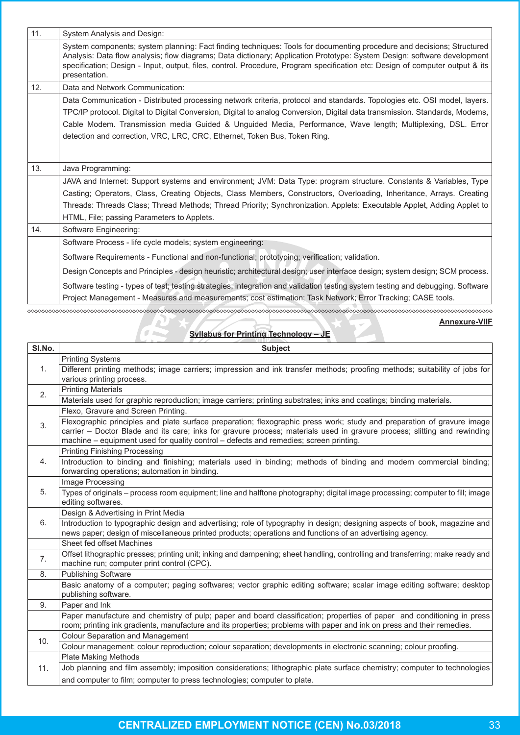| 11. | System Analysis and Design:                                                                                                                                                                                                                                                                                                                                                                                                                         |
|-----|-----------------------------------------------------------------------------------------------------------------------------------------------------------------------------------------------------------------------------------------------------------------------------------------------------------------------------------------------------------------------------------------------------------------------------------------------------|
|     | System components; system planning: Fact finding techniques: Tools for documenting procedure and decisions; Structured<br>Analysis: Data flow analysis; flow diagrams; Data dictionary; Application Prototype: System Design: software development<br>specification; Design - Input, output, files, control. Procedure, Program specification etc: Design of computer output & its<br>presentation.                                                 |
| 12. | Data and Network Communication:                                                                                                                                                                                                                                                                                                                                                                                                                     |
|     | Data Communication - Distributed processing network criteria, protocol and standards. Topologies etc. OSI model, layers.<br>TPC/IP protocol. Digital to Digital Conversion, Digital to analog Conversion, Digital data transmission. Standards, Modems,<br>Cable Modem. Transmission media Guided & Unguided Media, Performance, Wave length; Multiplexing, DSL. Error<br>detection and correction, VRC, LRC, CRC, Ethernet, Token Bus, Token Ring. |
| 13. | Java Programming:                                                                                                                                                                                                                                                                                                                                                                                                                                   |
|     | JAVA and Internet: Support systems and environment; JVM: Data Type: program structure. Constants & Variables, Type                                                                                                                                                                                                                                                                                                                                  |
|     | Casting; Operators, Class, Creating Objects, Class Members, Constructors, Overloading, Inheritance, Arrays. Creating                                                                                                                                                                                                                                                                                                                                |
|     | Threads: Threads Class; Thread Methods; Thread Priority; Synchronization. Applets: Executable Applet, Adding Applet to                                                                                                                                                                                                                                                                                                                              |
|     | HTML, File; passing Parameters to Applets.                                                                                                                                                                                                                                                                                                                                                                                                          |
| 14. | Software Engineering:                                                                                                                                                                                                                                                                                                                                                                                                                               |
|     | Software Process - life cycle models; system engineering:                                                                                                                                                                                                                                                                                                                                                                                           |
|     | Software Requirements - Functional and non-functional; prototyping; verification; validation.                                                                                                                                                                                                                                                                                                                                                       |
|     | Design Concepts and Principles - design heuristic; architectural design; user interface design; system design; SCM process.                                                                                                                                                                                                                                                                                                                         |
|     | Software testing - types of test; testing strategies; integration and validation testing system testing and debugging. Software<br>Project Management - Measures and measurements; cost estimation; Task Network; Error Tracking; CASE tools.                                                                                                                                                                                                       |

| <b>Annexure-VIIF</b><br><b>Syllabus for Printing Technology - JE</b> |                                                                                                                                                                                                                                                                                                                                             |
|----------------------------------------------------------------------|---------------------------------------------------------------------------------------------------------------------------------------------------------------------------------------------------------------------------------------------------------------------------------------------------------------------------------------------|
| SI.No.                                                               | <b>Subject</b>                                                                                                                                                                                                                                                                                                                              |
|                                                                      | <b>Printing Systems</b>                                                                                                                                                                                                                                                                                                                     |
| 1.                                                                   | Different printing methods; image carriers; impression and ink transfer methods; proofing methods; suitability of jobs for<br>various printing process.                                                                                                                                                                                     |
|                                                                      | <b>Printing Materials</b>                                                                                                                                                                                                                                                                                                                   |
| 2.                                                                   | Materials used for graphic reproduction; image carriers; printing substrates; inks and coatings; binding materials.                                                                                                                                                                                                                         |
|                                                                      | Flexo, Gravure and Screen Printing.                                                                                                                                                                                                                                                                                                         |
| 3.                                                                   | Flexographic principles and plate surface preparation; flexographic press work; study and preparation of gravure image<br>carrier – Doctor Blade and its care; inks for gravure process; materials used in gravure process; slitting and rewinding<br>machine – equipment used for quality control – defects and remedies; screen printing. |
|                                                                      | <b>Printing Finishing Processing</b>                                                                                                                                                                                                                                                                                                        |
| 4.                                                                   | Introduction to binding and finishing; materials used in binding; methods of binding and modern commercial binding;<br>forwarding operations; automation in binding.                                                                                                                                                                        |
|                                                                      | Image Processing                                                                                                                                                                                                                                                                                                                            |
| 5.                                                                   | Types of originals – process room equipment; line and halftone photography; digital image processing; computer to fill; image<br>editing softwares.                                                                                                                                                                                         |
|                                                                      | Design & Advertising in Print Media                                                                                                                                                                                                                                                                                                         |
| 6.                                                                   | Introduction to typographic design and advertising; role of typography in design; designing aspects of book, magazine and<br>news paper; design of miscellaneous printed products; operations and functions of an advertising agency.                                                                                                       |

|     | Sheet fed offset Machines                                                                                                      |
|-----|--------------------------------------------------------------------------------------------------------------------------------|
| 7.  | Offset lithographic presses; printing unit; inking and dampening; sheet handling, controlling and transferring; make ready and |
|     | machine run; computer print control (CPC).                                                                                     |
| 8.  | <b>Publishing Software</b>                                                                                                     |
|     | Basic anatomy of a computer; paging softwares; vector graphic editing software; scalar image editing software; desktop         |
|     | publishing software.                                                                                                           |
| 9.  | Paper and Ink                                                                                                                  |
|     | Paper manufacture and chemistry of pulp; paper and board classification; properties of paper and conditioning in press         |
|     | room; printing ink gradients, manufacture and its properties; problems with paper and ink on press and their remedies.         |
| 10. | <b>Colour Separation and Management</b>                                                                                        |
|     | Colour management; colour reproduction; colour separation; developments in electronic scanning; colour proofing.               |
|     | <b>Plate Making Methods</b>                                                                                                    |
| 11. | Job planning and film assembly; imposition considerations; lithographic plate surface chemistry; computer to technologies      |
|     | and computer to film; computer to press technologies; computer to plate.                                                       |
|     |                                                                                                                                |